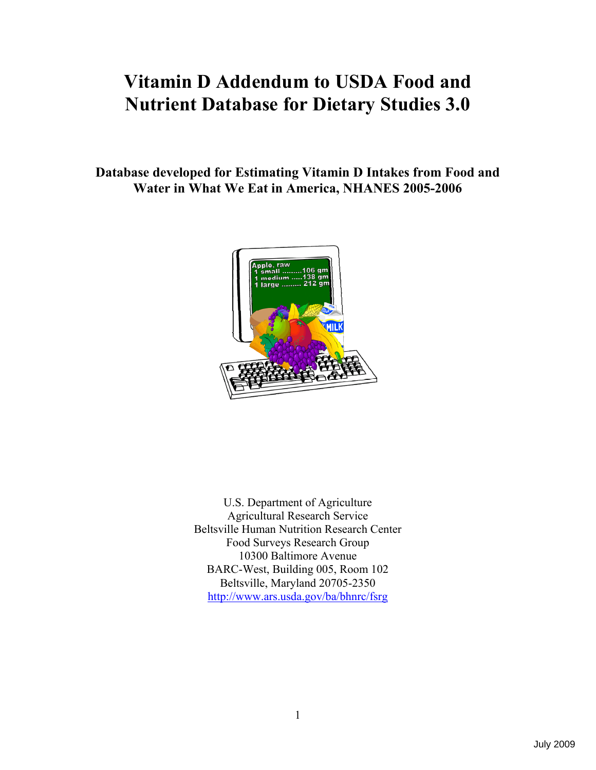# **Vitamin D Addendum to USDA Food and Nutrient Database for Dietary Studies 3.0**

**Database developed for Estimating Vitamin D Intakes from Food and Water in What We Eat in America, NHANES 2005-2006** 



U.S. Department of Agriculture Agricultural Research Service Beltsville Human Nutrition Research Center Food Surveys Research Group 10300 Baltimore Avenue BARC-West, Building 005, Room 102 Beltsville, Maryland 20705-2350 http://www.ars.usda.gov/ba/bhnrc/fsrg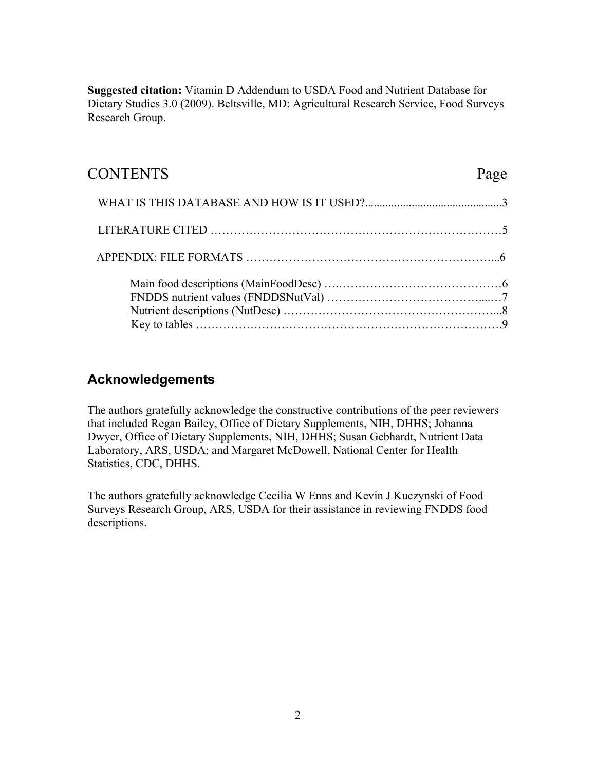**Suggested citation:** Vitamin D Addendum to USDA Food and Nutrient Database for Dietary Studies 3.0 (2009). Beltsville, MD: Agricultural Research Service, Food Surveys Research Group.

## CONTENTS Page

### **Acknowledgements**

The authors gratefully acknowledge the constructive contributions of the peer reviewers that included Regan Bailey, Office of Dietary Supplements, NIH, DHHS; Johanna Dwyer, Office of Dietary Supplements, NIH, DHHS; Susan Gebhardt, Nutrient Data Laboratory, ARS, USDA; and Margaret McDowell, National Center for Health Statistics, CDC, DHHS.

The authors gratefully acknowledge Cecilia W Enns and Kevin J Kuczynski of Food Surveys Research Group, ARS, USDA for their assistance in reviewing FNDDS food descriptions.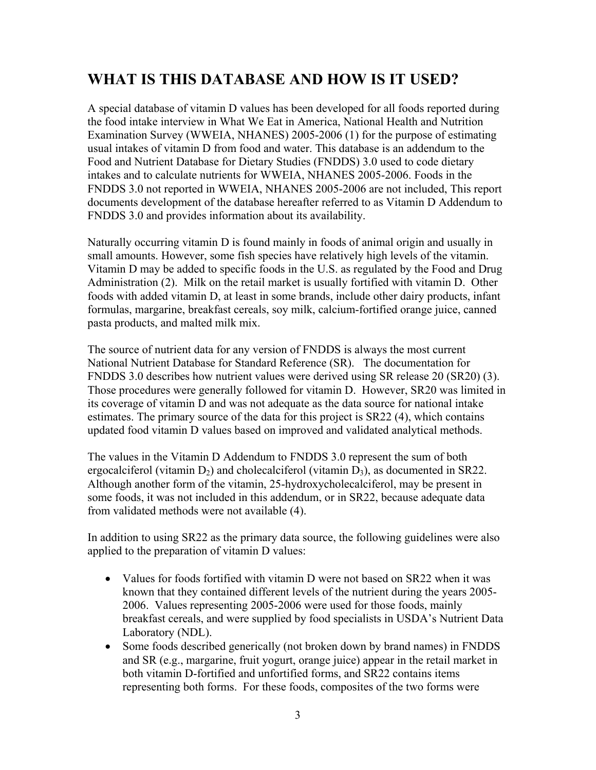## **WHAT IS THIS DATABASE AND HOW IS IT USED?**

A special database of vitamin D values has been developed for all foods reported during the food intake interview in What We Eat in America, National Health and Nutrition Examination Survey (WWEIA, NHANES) 2005-2006 (1) for the purpose of estimating usual intakes of vitamin D from food and water. This database is an addendum to the Food and Nutrient Database for Dietary Studies (FNDDS) 3.0 used to code dietary intakes and to calculate nutrients for WWEIA, NHANES 2005-2006. Foods in the FNDDS 3.0 not reported in WWEIA, NHANES 2005-2006 are not included, This report documents development of the database hereafter referred to as Vitamin D Addendum to FNDDS 3.0 and provides information about its availability.

Naturally occurring vitamin D is found mainly in foods of animal origin and usually in small amounts. However, some fish species have relatively high levels of the vitamin. Vitamin D may be added to specific foods in the U.S. as regulated by the Food and Drug Administration (2). Milk on the retail market is usually fortified with vitamin D. Other foods with added vitamin D, at least in some brands, include other dairy products, infant formulas, margarine, breakfast cereals, soy milk, calcium-fortified orange juice, canned pasta products, and malted milk mix.

The source of nutrient data for any version of FNDDS is always the most current National Nutrient Database for Standard Reference (SR). The documentation for FNDDS 3.0 describes how nutrient values were derived using SR release 20 (SR20) (3). Those procedures were generally followed for vitamin D. However, SR20 was limited in its coverage of vitamin D and was not adequate as the data source for national intake estimates. The primary source of the data for this project is SR22 (4), which contains updated food vitamin D values based on improved and validated analytical methods.

The values in the Vitamin D Addendum to FNDDS 3.0 represent the sum of both ergocalciferol (vitamin  $D_2$ ) and cholecalciferol (vitamin  $D_3$ ), as documented in SR22. Although another form of the vitamin, 25-hydroxycholecalciferol, may be present in some foods, it was not included in this addendum, or in SR22, because adequate data from validated methods were not available (4).

In addition to using SR22 as the primary data source, the following guidelines were also applied to the preparation of vitamin D values:

- Values for foods fortified with vitamin D were not based on SR22 when it was known that they contained different levels of the nutrient during the years 2005- 2006. Values representing 2005-2006 were used for those foods, mainly breakfast cereals, and were supplied by food specialists in USDA's Nutrient Data Laboratory (NDL).
- Some foods described generically (not broken down by brand names) in FNDDS and SR (e.g., margarine, fruit yogurt, orange juice) appear in the retail market in both vitamin D-fortified and unfortified forms, and SR22 contains items representing both forms. For these foods, composites of the two forms were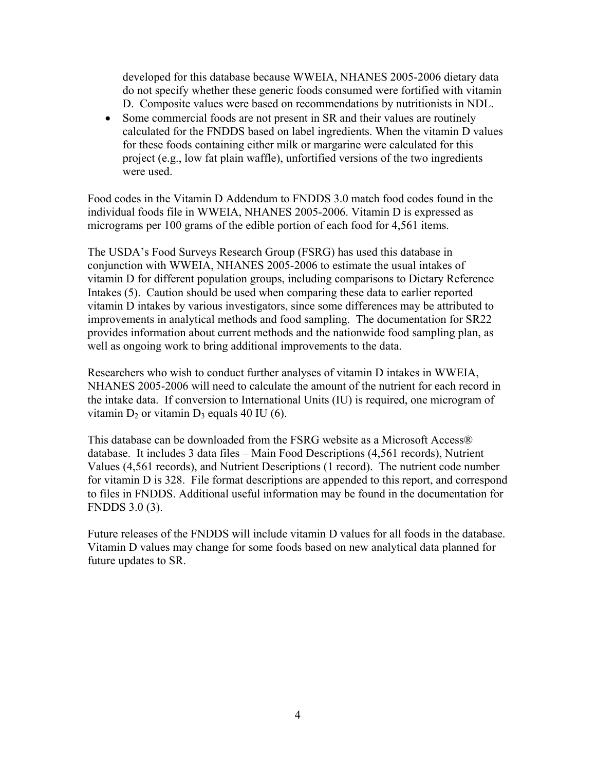developed for this database because WWEIA, NHANES 2005-2006 dietary data do not specify whether these generic foods consumed were fortified with vitamin D. Composite values were based on recommendations by nutritionists in NDL.

• Some commercial foods are not present in SR and their values are routinely calculated for the FNDDS based on label ingredients. When the vitamin D values for these foods containing either milk or margarine were calculated for this project (e.g., low fat plain waffle), unfortified versions of the two ingredients were used.

Food codes in the Vitamin D Addendum to FNDDS 3.0 match food codes found in the individual foods file in WWEIA, NHANES 2005-2006. Vitamin D is expressed as micrograms per 100 grams of the edible portion of each food for 4,561 items.

The USDA's Food Surveys Research Group (FSRG) has used this database in conjunction with WWEIA, NHANES 2005-2006 to estimate the usual intakes of vitamin D for different population groups, including comparisons to Dietary Reference Intakes (5). Caution should be used when comparing these data to earlier reported vitamin D intakes by various investigators, since some differences may be attributed to improvements in analytical methods and food sampling. The documentation for SR22 provides information about current methods and the nationwide food sampling plan, as well as ongoing work to bring additional improvements to the data.

Researchers who wish to conduct further analyses of vitamin D intakes in WWEIA, NHANES 2005-2006 will need to calculate the amount of the nutrient for each record in the intake data. If conversion to International Units (IU) is required, one microgram of vitamin  $D_2$  or vitamin  $D_3$  equals 40 IU (6).

This database can be downloaded from the FSRG website as a Microsoft Access® database. It includes 3 data files – Main Food Descriptions (4,561 records), Nutrient Values (4,561 records), and Nutrient Descriptions (1 record). The nutrient code number for vitamin D is 328. File format descriptions are appended to this report, and correspond to files in FNDDS. Additional useful information may be found in the documentation for FNDDS 3.0 (3).

Future releases of the FNDDS will include vitamin D values for all foods in the database. Vitamin D values may change for some foods based on new analytical data planned for future updates to SR.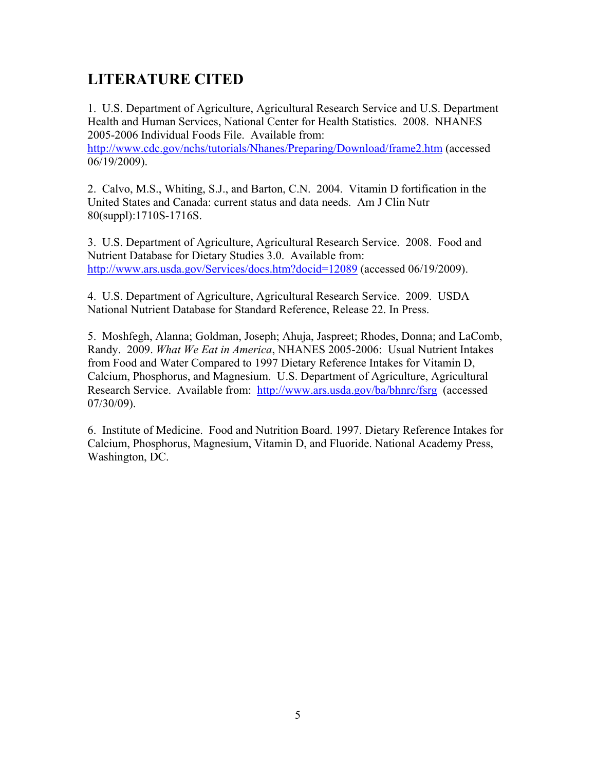## **LITERATURE CITED**

1. U.S. Department of Agriculture, Agricultural Research Service and U.S. Department Health and Human Services, National Center for Health Statistics. 2008. NHANES 2005-2006 Individual Foods File. Available from:

http://www.cdc.gov/nchs/tutorials/Nhanes/Preparing/Download/frame2.htm (accessed 06/19/2009).

2. Calvo, M.S., Whiting, S.J., and Barton, C.N. 2004. Vitamin D fortification in the United States and Canada: current status and data needs. Am J Clin Nutr 80(suppl):1710S-1716S.

3. U.S. Department of Agriculture, Agricultural Research Service. 2008. Food and Nutrient Database for Dietary Studies 3.0. Available from: http://www.ars.usda.gov/Services/docs.htm?docid=12089 (accessed 06/19/2009).

4. U.S. Department of Agriculture, Agricultural Research Service. 2009. USDA National Nutrient Database for Standard Reference, Release 22. In Press.

5. Moshfegh, Alanna; Goldman, Joseph; Ahuja, Jaspreet; Rhodes, Donna; and LaComb, Randy. 2009. *What We Eat in America*, NHANES 2005-2006: Usual Nutrient Intakes from Food and Water Compared to 1997 Dietary Reference Intakes for Vitamin D, Calcium, Phosphorus, and Magnesium. U.S. Department of Agriculture, Agricultural Research Service. Available from: http://www.ars.usda.gov/ba/bhnrc/fsrg (accessed 07/30/09).

6. Institute of Medicine. Food and Nutrition Board. 1997. Dietary Reference Intakes for Calcium, Phosphorus, Magnesium, Vitamin D, and Fluoride. National Academy Press, Washington, DC.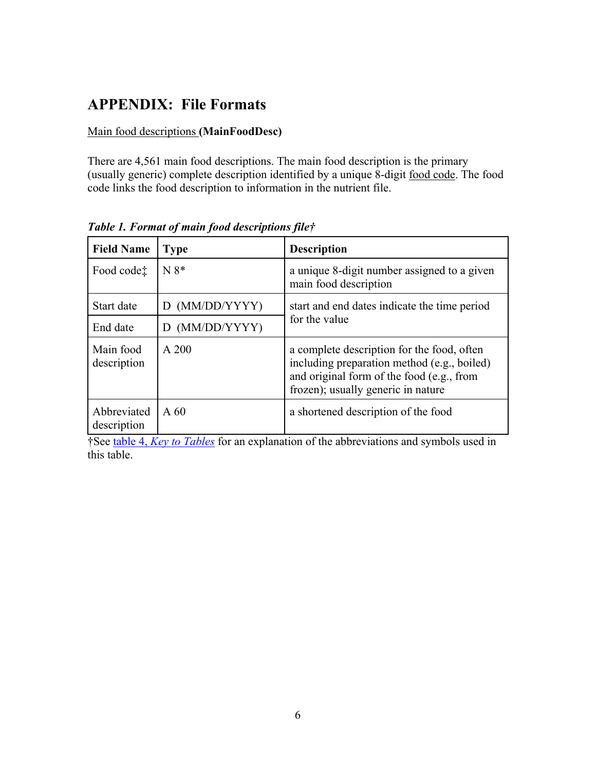## **APPENDIX: File Formats**

#### Main food descriptions **(MainFoodDesc)**

There are 4,561 main food descriptions. The main food description is the primary (usually generic) complete description identified by a unique 8-digit food code. The food code links the food description to information in the nutrient file.

| <b>Field Name</b>                         | <b>Type</b>       | <b>Description</b>                                                                                                                                                           |  |
|-------------------------------------------|-------------------|------------------------------------------------------------------------------------------------------------------------------------------------------------------------------|--|
| Food code <sup><math>\dagger</math></sup> | $N 8*$            | a unique 8-digit number assigned to a given<br>main food description                                                                                                         |  |
| Start date                                | D (MM/DD/YYYY)    | start and end dates indicate the time period                                                                                                                                 |  |
| End date                                  | (MM/DD/YYYY)<br>D | for the value                                                                                                                                                                |  |
| Main food<br>description                  | $A$ 200           | a complete description for the food, often<br>including preparation method (e.g., boiled)<br>and original form of the food (e.g., from<br>frozen); usually generic in nature |  |
| Abbreviated<br>description                | $A\,60$           | a shortened description of the food                                                                                                                                          |  |

*Table 1. Format of main food descriptions file†* 

†See table 4, *Key to Tables* for an explanation of the abbreviations and symbols used in this table.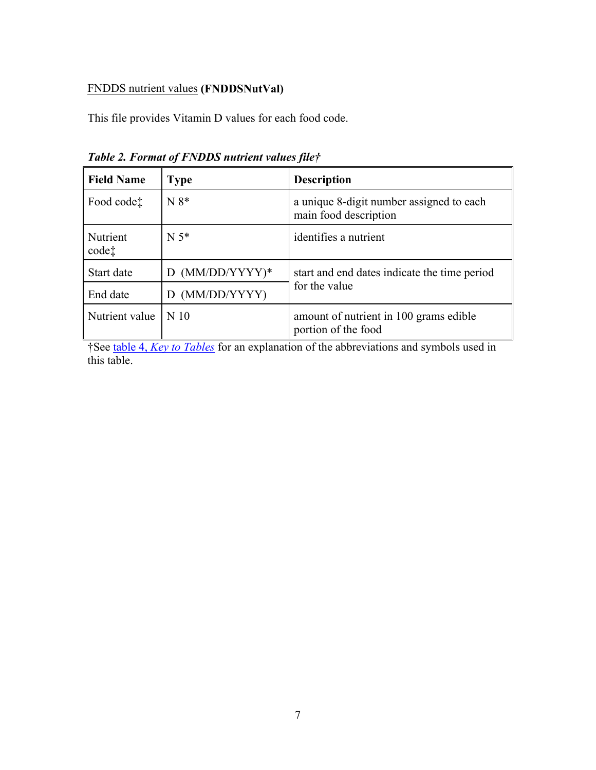#### FNDDS nutrient values **(FNDDSNutVal)**

This file provides Vitamin D values for each food code.

| <b>Field Name</b>      | <b>Type</b>       | <b>Description</b>                                                |  |
|------------------------|-------------------|-------------------------------------------------------------------|--|
| Food code <sup>†</sup> | $N 8*$            | a unique 8-digit number assigned to each<br>main food description |  |
| Nutrient<br>$code$ :   | $N 5*$            | identifies a nutrient                                             |  |
| Start date             | $D$ (MM/DD/YYYY)* | start and end dates indicate the time period                      |  |
| End date               | (MM/DD/YYYY)<br>D | for the value                                                     |  |
| Nutrient value         | N 10              | amount of nutrient in 100 grams edible<br>portion of the food     |  |

*Table 2. Format of FNDDS nutrient values file†* 

†See table 4, *Key to Tables* for an explanation of the abbreviations and symbols used in this table.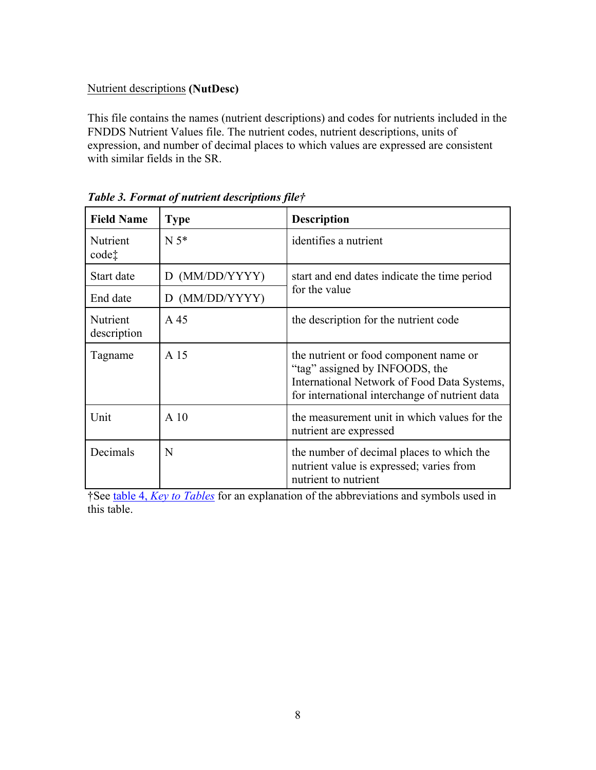#### Nutrient descriptions **(NutDesc)**

This file contains the names (nutrient descriptions) and codes for nutrients included in the FNDDS Nutrient Values file. The nutrient codes, nutrient descriptions, units of expression, and number of decimal places to which values are expressed are consistent with similar fields in the SR.

| <b>Field Name</b>             | <b>Type</b>     | <b>Description</b>                                                                                                                                                        |  |
|-------------------------------|-----------------|---------------------------------------------------------------------------------------------------------------------------------------------------------------------------|--|
| Nutrient<br>code <sup>†</sup> | $N 5*$          | identifies a nutrient                                                                                                                                                     |  |
| Start date                    | D (MM/DD/YYYY)  | start and end dates indicate the time period                                                                                                                              |  |
| End date                      | D (MM/DD/YYYY)  | for the value                                                                                                                                                             |  |
| Nutrient<br>description       | A 45            | the description for the nutrient code                                                                                                                                     |  |
| Tagname                       | A 15            | the nutrient or food component name or<br>"tag" assigned by INFOODS, the<br>International Network of Food Data Systems,<br>for international interchange of nutrient data |  |
| Unit                          | A <sub>10</sub> | the measurement unit in which values for the<br>nutrient are expressed                                                                                                    |  |
| Decimals                      | N               | the number of decimal places to which the<br>nutrient value is expressed; varies from<br>nutrient to nutrient                                                             |  |

*Table 3. Format of nutrient descriptions file†* 

†See table 4, *Key to Tables* for an explanation of the abbreviations and symbols used in this table.